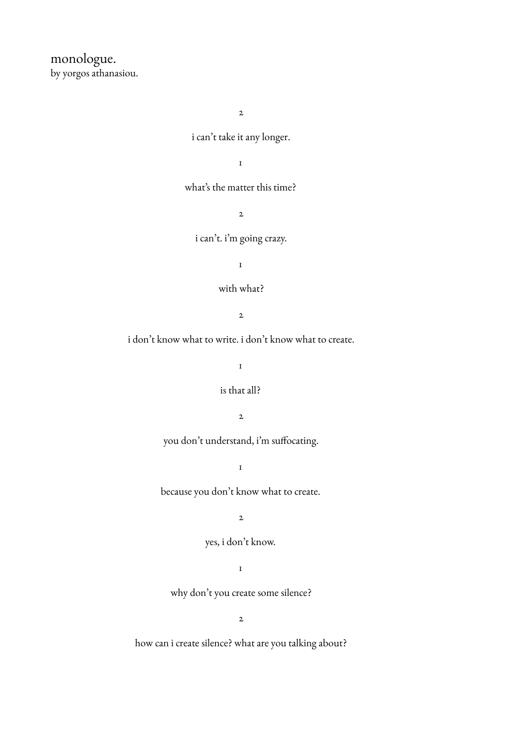monologue. by yorgos athanasiou.

2

i can't take it any longer.

1

what's the matter this time?

2

i can't. i'm going crazy.

1

# with what?

2

i don't know what to write. i don't know what to create.

1

### is that all?

 $\overline{2}$ 

you don't understand, i'm suffocating.

1

because you don't know what to create.

2

yes, i don't know.

1

why don't you create some silence?

2

how can i create silence? what are you talking about?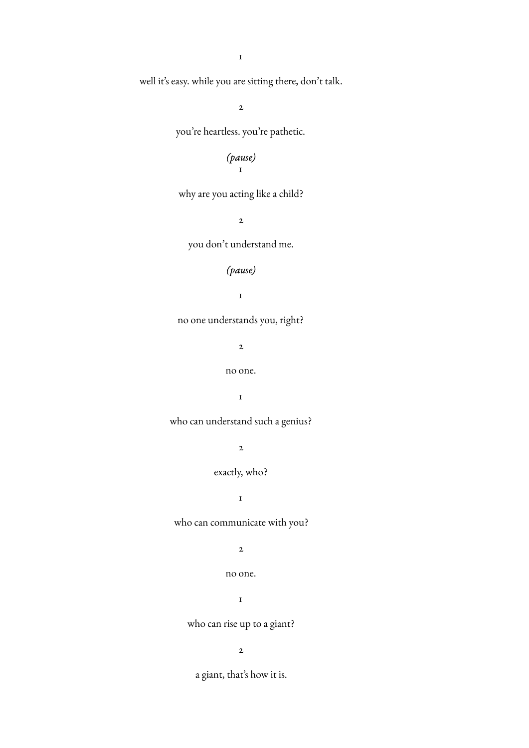1

well it's easy. while you are sitting there, don't talk.

2

you're heartless. you're pathetic.

### *(pause)* 1

why are you acting like a child?

2

you don't understand me.

# *(pause)*

1

no one understands you, right?

2

no one.

1

who can understand such a genius?

2

# exactly, who?

1

who can communicate with you?

2

no one.

1

who can rise up to a giant?

2

a giant, that's how it is.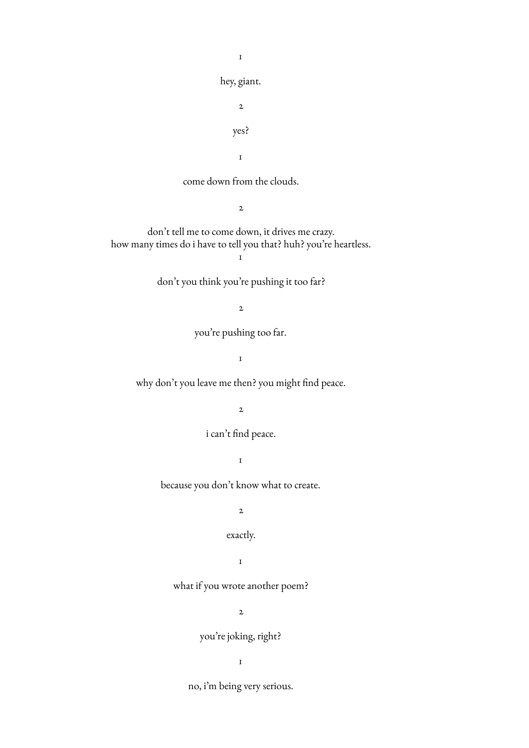hey, giant. 2 yes?

1

1

come down from the clouds.

2

don't tell me to come down, it drives me crazy. how many times do i have to tell you that? huh? you're heartless.  $\mathbf I$ 

don't you think you're pushing it too far?

2

you're pushing too far.

1

why don't you leave me then? you might find peace.

2

i can't find peace.

1

because you don't know what to create.

2

exactly.

1

what if you wrote another poem?

2

you're joking, right?

1

no, i'm being very serious.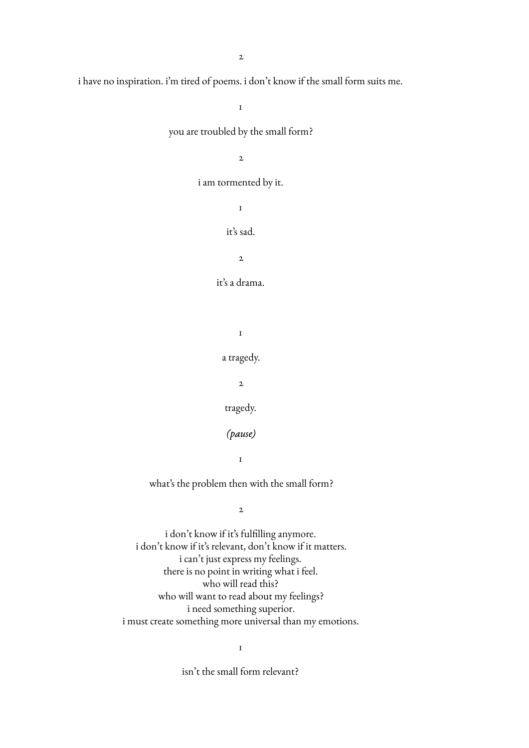i have no inspiration. i'm tired of poems. i don't know if the small form suits me.

1 you are troubled by the small form?  $\overline{2}$ i am tormented by it. 1 it's sad. 2 it's a drama. 1 a tragedy. 2 tragedy. *(pause)* 1 what's the problem then with the small form? 2 i don't know if it's fulfilling anymore. i don't know if it's relevant, don't know if it matters. i can't just express my feelings. there is no point in writing what i feel.

> who will want to read about my feelings? i need something superior.

i must create something more universal than my emotions.

who will read this?

1

isn't the small form relevant?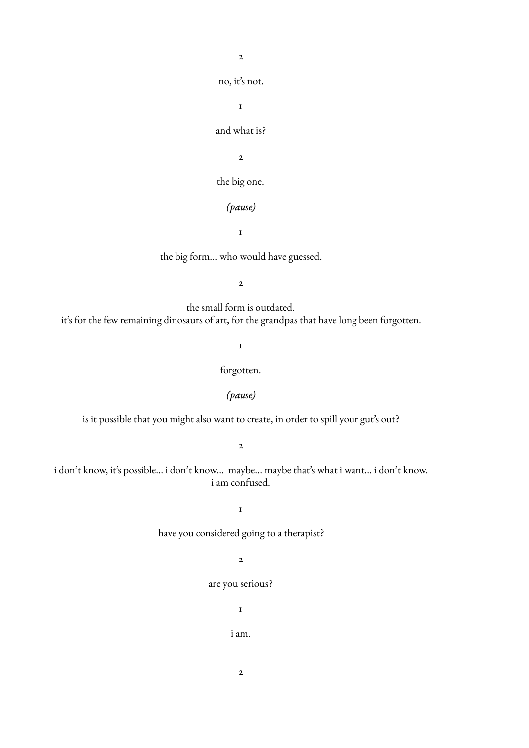2

no, it's not.

1

# and what is?

2

the big one.

# *(pause)*

1

the big form... who would have guessed.

2

the small form is outdated. it's for the few remaining dinosaurs of art, for the grandpas that have long been forgotten.

1

# forgotten.

### *(pause)*

is it possible that you might also want to create, in order to spill your gut's out?

2

i don't know, it's possible... i don't know... maybe... maybe that's what i want... i don't know. i am confused.

1

have you considered going to a therapist?

# 2

### are you serious?

1

i am.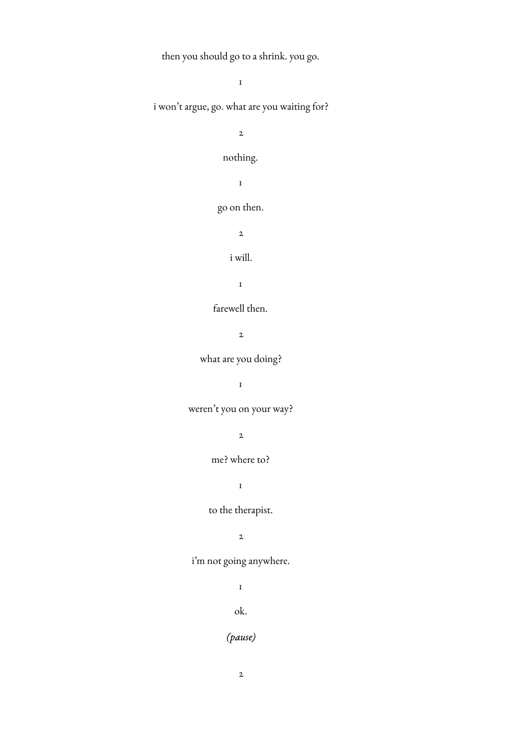then you should go to a shrink. you go.

1 i won't argue, go. what are you waiting for? 2 nothing. 1 go on then. 2 i will. 1 farewell then. 2 what are you doing? 1 weren't you on your way? 2 me? where to? 1 to the therapist. 2 i'm not going anywhere. 1 ok.

*(pause)*

2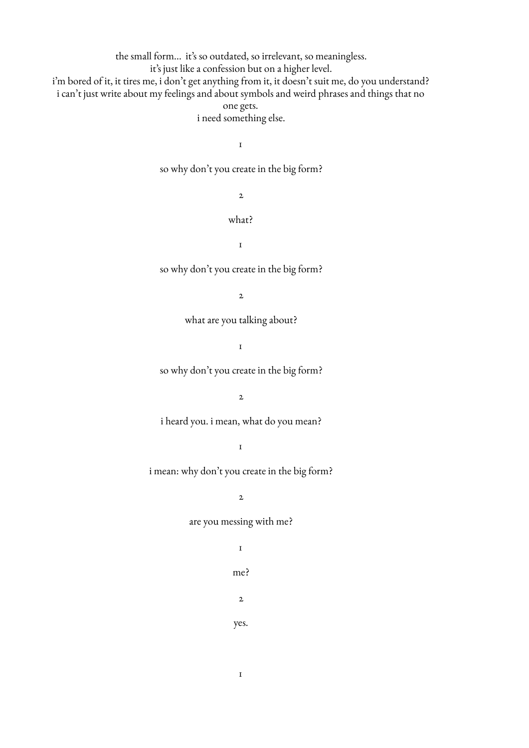the small form... it's so outdated, so irrelevant, so meaningless. it's just like a confession but on a higher level. i'm bored of it, it tires me, i don't get anything from it, it doesn't suit me, do you understand? i can't just write about my feelings and about symbols and weird phrases and things that no one gets.

i need something else.

1

so why don't you create in the big form?

2

what?

1

so why don't you create in the big form?

2

what are you talking about?

1

so why don't you create in the big form?

2

i heard you. i mean, what do you mean?

1

i mean: why don't you create in the big form?

2

are you messing with me?

1

me?

2

yes.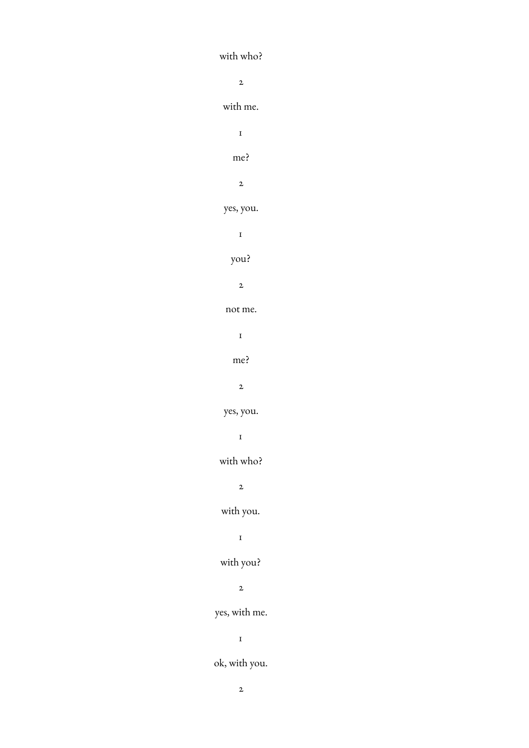with who? 2 with me. 1 me? 2 yes, you. 1 you? 2 not me. 1 me? 2 yes, you.  $\mathbf{I}$ with who? 2 with you. 1 with you? 2 yes, with me. 1 ok, with you.

2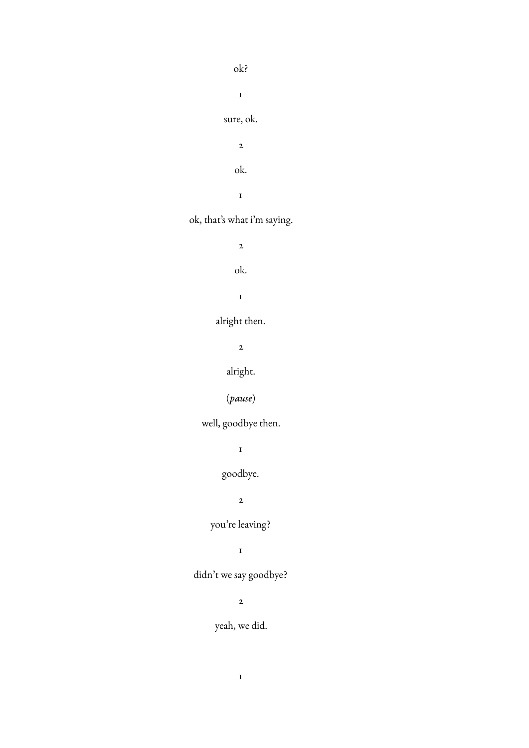ok? 1 sure, ok. 2 ok.

1

ok, that's what i'm saying.

2

ok.

1

alright then.

2

alright.

(*pause*)

well, goodbye then.

1

goodbye.

2

you're leaving?

1

didn't we say goodbye?

2

yeah, we did.